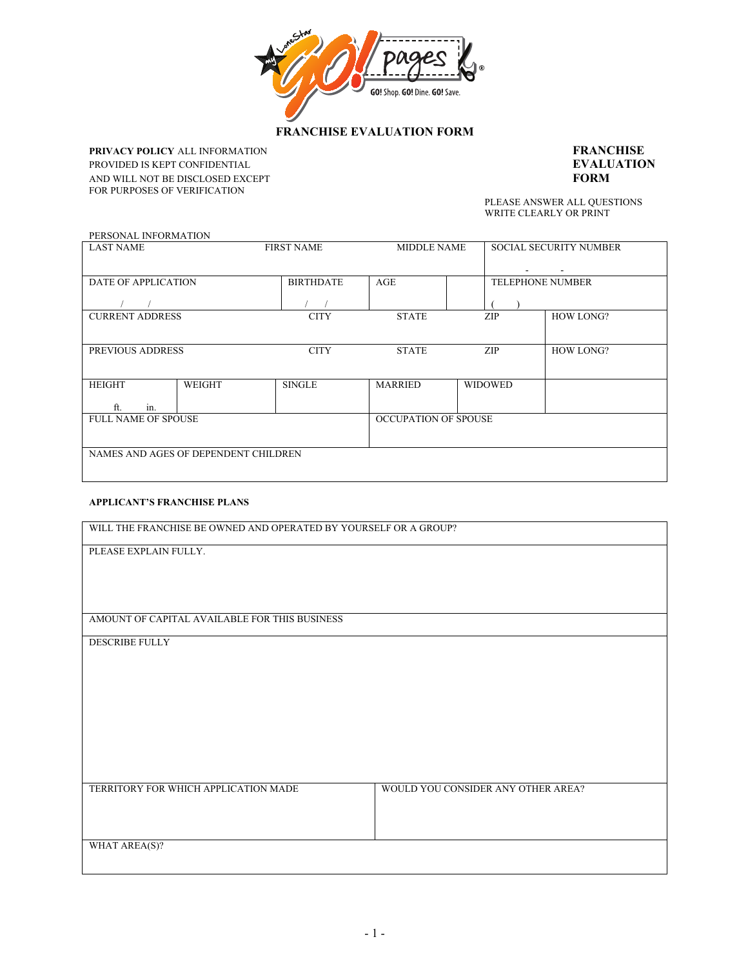

## **FRANCHISE EVALUATION FORM**

**PRIVACY POLICY** ALL INFORMATION **FRANCHISE**

**PROVIDED** IS NET CONFIDENTIAL<br>
AND WILL NOT BE DISCLOSED EXCEPT **FORM PORT CONFIDENTIAL EXAMPLE IS CONFIDENTIAL CONFIDENTIAL CONFIDENTIAL CONFIDENTIAL CONFIDENTIAL CONFIDENTIAL CONFIDENTIAL CONFIDENTIAL CONFIDENTIAL CONFIDENTIAL CONFIDENTIAL CONFIDENTIAL CONFIDENTIAL CONFIDENTIAL CONFIDENTI** PROVIDED IS KEPT CONFIDENTIAL **EVALUATION**<br>AND WILL NOT BE DISCLOSED EXCEPT **FORM** 

AND WILL NOT BE DISCUSSED OF A FILM WILL NOT BE DISCUSSED FOR A REAL PROPERTY FOR A REAL PROPERTY ON SPEED ON SPECIFICAL PROPERTY ON SPECIFICAL PROPERTY ON SPECIFICAL PROPERTY ON SPECIFICAL PROPERTY ON SPECIFICAL PROPERTY WRITE CLEARLY OR PRINT

| PERSONAL INFORMATION                 |               |                   |                             |                |                               |  |  |
|--------------------------------------|---------------|-------------------|-----------------------------|----------------|-------------------------------|--|--|
| <b>LAST NAME</b>                     |               | <b>FIRST NAME</b> | <b>MIDDLE NAME</b>          |                | <b>SOCIAL SECURITY NUMBER</b> |  |  |
|                                      |               |                   |                             |                |                               |  |  |
| DATE OF APPLICATION                  |               | <b>BIRTHDATE</b>  | AGE                         |                | <b>TELEPHONE NUMBER</b>       |  |  |
|                                      |               |                   |                             |                |                               |  |  |
| <b>CURRENT ADDRESS</b>               |               | <b>CITY</b>       | <b>STATE</b>                | ZIP            | <b>HOW LONG?</b>              |  |  |
|                                      |               |                   |                             |                |                               |  |  |
| PREVIOUS ADDRESS                     |               | <b>CITY</b>       | <b>STATE</b>                | ZIP            | <b>HOW LONG?</b>              |  |  |
|                                      |               |                   |                             |                |                               |  |  |
| <b>HEIGHT</b>                        | <b>WEIGHT</b> | <b>SINGLE</b>     | <b>MARRIED</b>              | <b>WIDOWED</b> |                               |  |  |
| in.<br>ft.                           |               |                   |                             |                |                               |  |  |
| <b>FULL NAME OF SPOUSE</b>           |               |                   | <b>OCCUPATION OF SPOUSE</b> |                |                               |  |  |
|                                      |               |                   |                             |                |                               |  |  |
| NAMES AND AGES OF DEPENDENT CHILDREN |               |                   |                             |                |                               |  |  |
|                                      |               |                   |                             |                |                               |  |  |
|                                      |               |                   |                             |                |                               |  |  |

## **APPLICANT'S FRANCHISE PLANS**

| WILL THE FRANCHISE BE OWNED AND OPERATED BY YOURSELF OR A GROUP? |                                    |
|------------------------------------------------------------------|------------------------------------|
| PLEASE EXPLAIN FULLY.                                            |                                    |
|                                                                  |                                    |
|                                                                  |                                    |
|                                                                  |                                    |
| AMOUNT OF CAPITAL AVAILABLE FOR THIS BUSINESS                    |                                    |
| <b>DESCRIBE FULLY</b>                                            |                                    |
|                                                                  |                                    |
|                                                                  |                                    |
|                                                                  |                                    |
|                                                                  |                                    |
|                                                                  |                                    |
|                                                                  |                                    |
|                                                                  |                                    |
|                                                                  |                                    |
| TERRITORY FOR WHICH APPLICATION MADE                             | WOULD YOU CONSIDER ANY OTHER AREA? |
|                                                                  |                                    |
|                                                                  |                                    |
|                                                                  |                                    |
| WHAT AREA(S)?                                                    |                                    |
|                                                                  |                                    |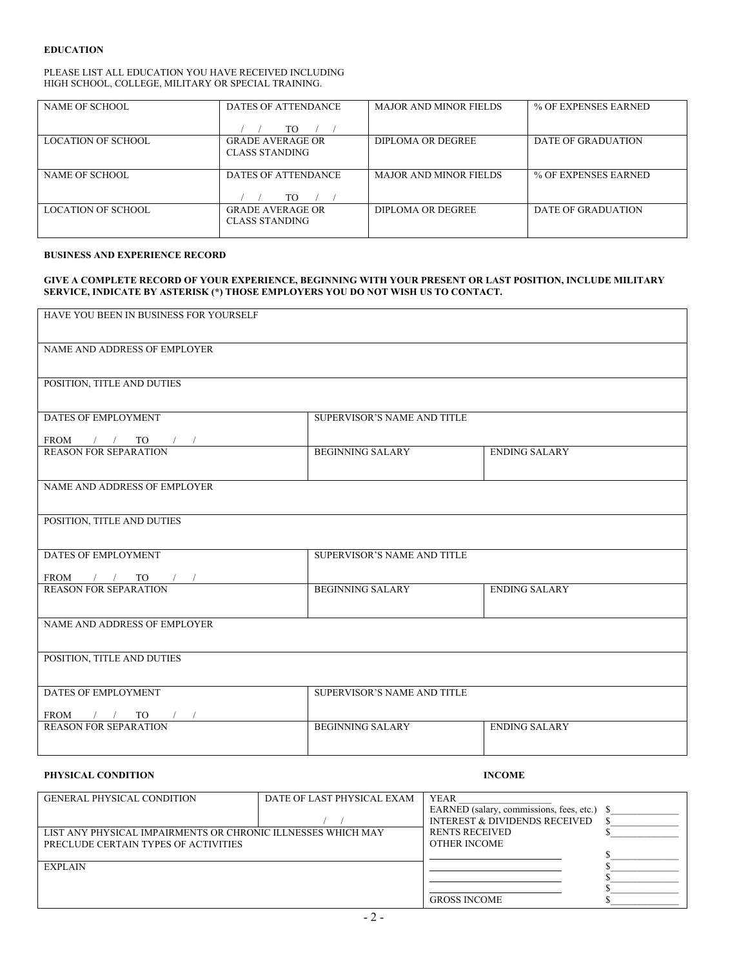#### **EDUCATION**

#### PLEASE LIST ALL EDUCATION YOU HAVE RECEIVED INCLUDING HIGH SCHOOL, COLLEGE, MILITARY OR SPECIAL TRAINING.

| NAME OF SCHOOL            | DATES OF ATTENDANCE                       | <b>MAJOR AND MINOR FIELDS</b> | % OF EXPENSES EARNED |  |  |
|---------------------------|-------------------------------------------|-------------------------------|----------------------|--|--|
|                           | TO                                        |                               |                      |  |  |
| <b>LOCATION OF SCHOOL</b> | <b>GRADE AVERAGE OR</b><br>CLASS STANDING | DIPLOMA OR DEGREE             | DATE OF GRADUATION   |  |  |
| NAME OF SCHOOL            | DATES OF ATTENDANCE<br>TO                 | <b>MAJOR AND MINOR FIELDS</b> | % OF EXPENSES EARNED |  |  |
| LOCATION OF SCHOOL        | <b>GRADE AVERAGE OR</b><br>CLASS STANDING | DIPLOMA OR DEGREE             | DATE OF GRADUATION   |  |  |

### **BUSINESS AND EXPERIENCE RECORD**

#### **GIVE A COMPLETE RECORD OF YOUR EXPERIENCE, BEGINNING WITH YOUR PRESENT OR LAST POSITION, INCLUDE MILITARY SERVICE, INDICATE BY ASTERISK (\*) THOSE EMPLOYERS YOU DO NOT WISH US TO CONTACT.**

| HAVE YOU BEEN IN BUSINESS FOR YOURSELF                                                                                                       |                             |                      |
|----------------------------------------------------------------------------------------------------------------------------------------------|-----------------------------|----------------------|
| NAME AND ADDRESS OF EMPLOYER                                                                                                                 |                             |                      |
|                                                                                                                                              |                             |                      |
| POSITION, TITLE AND DUTIES                                                                                                                   |                             |                      |
| DATES OF EMPLOYMENT                                                                                                                          | SUPERVISOR'S NAME AND TITLE |                      |
|                                                                                                                                              |                             |                      |
| $\begin{tabular}{ c c c c c } \hline \text{FROM} & / & / & \text{TO} & / \\ \hline \text{REASON FOR SEPARATION} & & \\ \hline \end{tabular}$ | <b>BEGINNING SALARY</b>     | <b>ENDING SALARY</b> |
|                                                                                                                                              |                             |                      |
| NAME AND ADDRESS OF EMPLOYER                                                                                                                 |                             |                      |
| POSITION, TITLE AND DUTIES                                                                                                                   |                             |                      |
|                                                                                                                                              |                             |                      |
| DATES OF EMPLOYMENT                                                                                                                          | SUPERVISOR'S NAME AND TITLE |                      |
| $FRO\underline{M}$ / / TO / /<br><b>REASON FOR SEPARATION</b>                                                                                | <b>BEGINNING SALARY</b>     | <b>ENDING SALARY</b> |
|                                                                                                                                              |                             |                      |
| NAME AND ADDRESS OF EMPLOYER                                                                                                                 |                             |                      |
|                                                                                                                                              |                             |                      |
| POSITION, TITLE AND DUTIES                                                                                                                   |                             |                      |
| DATES OF EMPLOYMENT                                                                                                                          | SUPERVISOR'S NAME AND TITLE |                      |
| FROM $/$ / TO $/$                                                                                                                            |                             |                      |
| <b>REASON FOR SEPARATION</b>                                                                                                                 | <b>BEGINNING SALARY</b>     | <b>ENDING SALARY</b> |
|                                                                                                                                              |                             |                      |

#### **PHYSICAL CONDITION** INCOME

| <b>GENERAL PHYSICAL CONDITION</b>                            | DATE OF LAST PHYSICAL EXAM | <b>YEAR</b>                                 |  |
|--------------------------------------------------------------|----------------------------|---------------------------------------------|--|
|                                                              |                            | EARNED (salary, commissions, fees, etc.) \$ |  |
|                                                              |                            | <b>INTEREST &amp; DIVIDENDS RECEIVED</b>    |  |
| LIST ANY PHYSICAL IMPAIRMENTS OR CHRONIC ILLNESSES WHICH MAY |                            | <b>RENTS RECEIVED</b>                       |  |
| PRECLUDE CERTAIN TYPES OF ACTIVITIES                         |                            | <b>OTHER INCOME</b>                         |  |
|                                                              |                            |                                             |  |
| <b>EXPLAIN</b>                                               |                            |                                             |  |
|                                                              |                            |                                             |  |
|                                                              |                            |                                             |  |
|                                                              |                            | <b>GROSS INCOME</b>                         |  |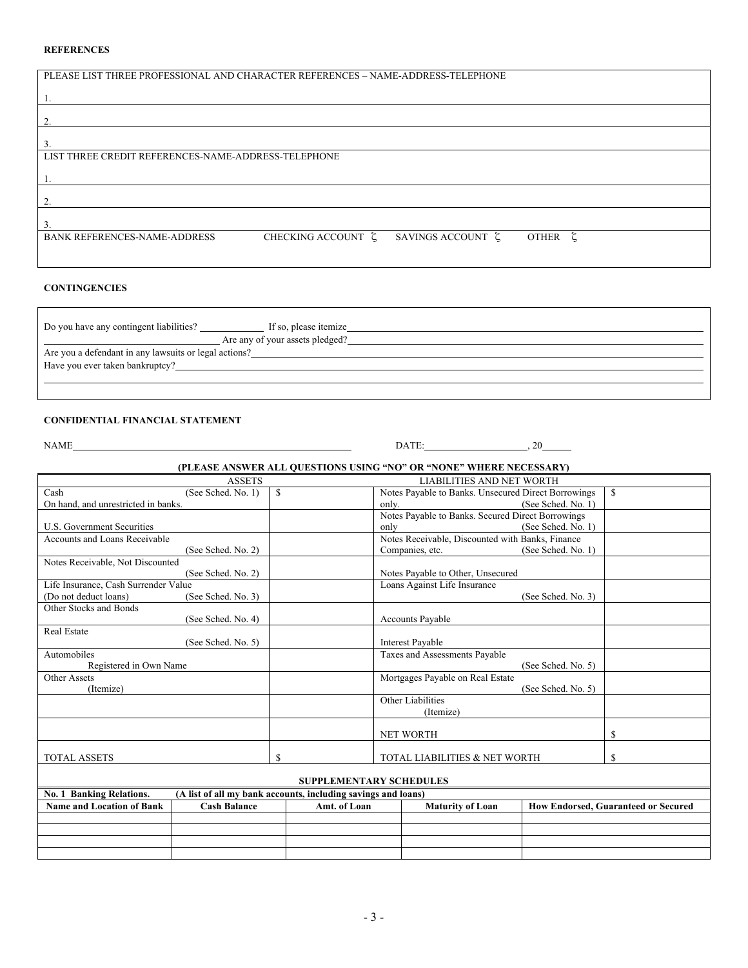#### **REFERENCES**

| PLEASE LIST THREE PROFESSIONAL AND CHARACTER REFERENCES - NAME-ADDRESS-TELEPHONE |                    |                   |         |  |
|----------------------------------------------------------------------------------|--------------------|-------------------|---------|--|
|                                                                                  |                    |                   |         |  |
|                                                                                  |                    |                   |         |  |
|                                                                                  |                    |                   |         |  |
|                                                                                  |                    |                   |         |  |
|                                                                                  |                    |                   |         |  |
|                                                                                  |                    |                   |         |  |
|                                                                                  |                    |                   |         |  |
|                                                                                  |                    |                   |         |  |
|                                                                                  |                    |                   |         |  |
| LIST THREE CREDIT REFERENCES-NAME-ADDRESS-TELEPHONE                              |                    |                   |         |  |
|                                                                                  |                    |                   |         |  |
|                                                                                  |                    |                   |         |  |
|                                                                                  |                    |                   |         |  |
|                                                                                  |                    |                   |         |  |
|                                                                                  |                    |                   |         |  |
|                                                                                  |                    |                   |         |  |
|                                                                                  |                    |                   |         |  |
|                                                                                  |                    |                   |         |  |
| <b>BANK REFERENCES-NAME-ADDRESS</b>                                              | CHECKING ACCOUNT E | SAVINGS ACCOUNT ξ | OTHER ζ |  |
|                                                                                  |                    |                   |         |  |
|                                                                                  |                    |                   |         |  |
|                                                                                  |                    |                   |         |  |

#### **CONTINGENCIES**

| Do you have any contingent liabilities?               | If so, please itemize           |  |
|-------------------------------------------------------|---------------------------------|--|
|                                                       | Are any of your assets pledged? |  |
| Are you a defendant in any lawsuits or legal actions? |                                 |  |
| Have you ever taken bankruptcy?                       |                                 |  |
|                                                       |                                 |  |

#### **CONFIDENTIAL FINANCIAL STATEMENT**

NAME DATE: , 20

# **(PLEASE ANSWER ALL QUESTIONS USING "NO" OR "NONE" WHERE NECESSARY)**

| <b>ASSETS</b><br>LIABILITIES AND NET WORTH |                     |                                                               |                                   |                                                   |                                                     |                                            |  |  |  |
|--------------------------------------------|---------------------|---------------------------------------------------------------|-----------------------------------|---------------------------------------------------|-----------------------------------------------------|--------------------------------------------|--|--|--|
| Cash<br>\$<br>(See Sched, No. 1)           |                     |                                                               |                                   |                                                   | Notes Payable to Banks. Unsecured Direct Borrowings | $\mathbf S$                                |  |  |  |
| On hand, and unrestricted in banks.        |                     |                                                               | only.                             |                                                   | (See Sched, No. 1)                                  |                                            |  |  |  |
|                                            |                     |                                                               |                                   | Notes Payable to Banks. Secured Direct Borrowings |                                                     |                                            |  |  |  |
| <b>U.S. Government Securities</b>          |                     |                                                               | only                              |                                                   | (See Sched, No. 1)                                  |                                            |  |  |  |
| Accounts and Loans Receivable              |                     |                                                               |                                   | Notes Receivable, Discounted with Banks, Finance  |                                                     |                                            |  |  |  |
|                                            | (See Sched. No. 2)  |                                                               | Companies, etc.                   |                                                   | (See Sched. No. 1)                                  |                                            |  |  |  |
| Notes Receivable, Not Discounted           |                     |                                                               |                                   |                                                   |                                                     |                                            |  |  |  |
|                                            | (See Sched. No. 2)  |                                                               | Notes Payable to Other, Unsecured |                                                   |                                                     |                                            |  |  |  |
| Life Insurance, Cash Surrender Value       |                     |                                                               | Loans Against Life Insurance      |                                                   |                                                     |                                            |  |  |  |
| (Do not deduct loans)                      | (See Sched. No. 3)  |                                                               |                                   |                                                   | (See Sched, No. 3)                                  |                                            |  |  |  |
| Other Stocks and Bonds                     |                     |                                                               |                                   |                                                   |                                                     |                                            |  |  |  |
|                                            | (See Sched. No. 4)  |                                                               | <b>Accounts Payable</b>           |                                                   |                                                     |                                            |  |  |  |
| <b>Real Estate</b>                         |                     |                                                               |                                   |                                                   |                                                     |                                            |  |  |  |
|                                            | (See Sched. No. 5)  |                                                               | <b>Interest Payable</b>           |                                                   |                                                     |                                            |  |  |  |
| Automobiles                                |                     |                                                               | Taxes and Assessments Payable     |                                                   |                                                     |                                            |  |  |  |
| Registered in Own Name                     |                     |                                                               |                                   |                                                   | (See Sched. No. 5)                                  |                                            |  |  |  |
| <b>Other Assets</b>                        |                     |                                                               | Mortgages Payable on Real Estate  |                                                   |                                                     |                                            |  |  |  |
| (Itemize)                                  |                     |                                                               |                                   |                                                   | (See Sched, No. 5)                                  |                                            |  |  |  |
|                                            |                     |                                                               | Other Liabilities                 |                                                   |                                                     |                                            |  |  |  |
|                                            |                     |                                                               | (Itemize)                         |                                                   |                                                     |                                            |  |  |  |
|                                            |                     |                                                               |                                   |                                                   |                                                     |                                            |  |  |  |
|                                            |                     |                                                               | <b>NET WORTH</b>                  |                                                   |                                                     | S                                          |  |  |  |
| <b>TOTAL ASSETS</b>                        |                     | \$                                                            |                                   | TOTAL LIABILITIES & NET WORTH                     |                                                     | S                                          |  |  |  |
|                                            |                     |                                                               |                                   |                                                   |                                                     |                                            |  |  |  |
|                                            |                     |                                                               | <b>SUPPLEMENTARY SCHEDULES</b>    |                                                   |                                                     |                                            |  |  |  |
| <b>No. 1 Banking Relations.</b>            |                     | (A list of all my bank accounts, including savings and loans) |                                   |                                                   |                                                     |                                            |  |  |  |
| <b>Name and Location of Bank</b>           | <b>Cash Balance</b> | Amt. of Loan                                                  |                                   | <b>Maturity of Loan</b>                           |                                                     | <b>How Endorsed, Guaranteed or Secured</b> |  |  |  |
|                                            |                     |                                                               |                                   |                                                   |                                                     |                                            |  |  |  |
|                                            |                     |                                                               |                                   |                                                   |                                                     |                                            |  |  |  |
|                                            |                     |                                                               |                                   |                                                   |                                                     |                                            |  |  |  |
|                                            |                     |                                                               |                                   |                                                   |                                                     |                                            |  |  |  |